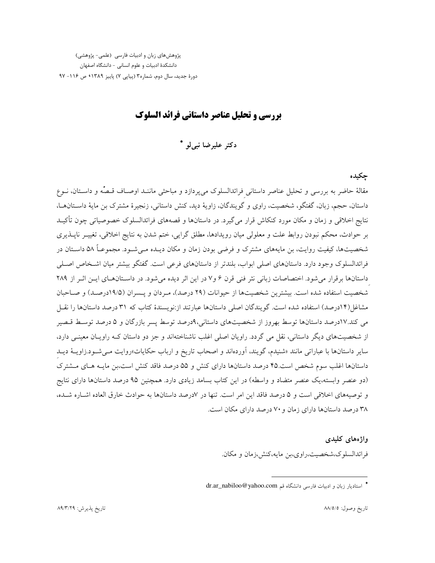پژوهشهای زبان و ادبیات فارسی (علمی- پژوهشی) دانشکدهٔ ادبیات و علوم انسانی - دانشگاه اصفهان دورهٔ جدید، سال دوم، شماره۳ (پیاپی ۷) پاییز ۱۳۸۹ ک ص ۱۱۶- ۹۷

بررسی و تحلیل عناصر داستانی فرائد السلوک

دکتر علیرضا نبی لو \*

جكيده

مقالهٔ حاضر به بررسی و تحلیل عناصر داستانی فرائدالسلوک میپردازد و مباحثی ماننـد اوصـاف قـصُّه و داسـتان، نــوع داستان، حجم، زبان، گفتگو، شخصیت، راوی و گویندگان، زاویهٔ دید، کنش داستانی، زنجیرهٔ مشترک بن مایهٔ داسـتانهــا، نتايج اخلاقي و زمان و مكان مورد كنكاش قرار مي گيرد. در داستانها و قصههاي فرائدالسلوک خصوصياتي چون تأكيـد بر حوادث، محکم نبودن روابط علت و معلولی میان رویدادها، مطلق گرایی، ختم شدن به نتایج اخلاقی، تغییـر ناپــذیری شخصیتها، کیفیت روایت، بن مایههای مشترک و فرضی بودن زمان و مکان دیـده مـیشـود. مجموعـاً ۵۸ داسـتان در فرائدالسلوک وجود دارد. داستانهای اصلی ابواب، بلندتر از داستانهای فرعی است. گفتگو بیشتر میان اشـخاص اصـلی داستانها برقرار می شود. اختصاصات زبانی نثر فنی قرن ۶ و۷ در این اثر دیده می شود. در داستانهای ایـن اثـر از ۲۸۹ شخصیت استفاده شده است. بیشترین شخصیتها از حیوانات (۲۹ درصد)، مـردان و یـسران (۱۹/۵درصـد) و صـاحبان مشاغل(۱۴درصد) استفاده شده است. گویندگان اصلی داستانها عبارتند از:نویسندهٔ کتاب که ۳۱ درصد داستانها را نقـل می کند.۱۷درصد داستانها توسط بهروز از شخصیتهای داستانی،۹درصد توسط پسر بازرگان و ۵ درصد توسط قبصر از شخصیتهای دیگر داستانی، نقل می گردد. راویان اصلی اغلب ناشناختهاند و جز دو داستان کـه راویـان معینـی دارد، سایر داستانها با عباراتی مانند «شنیدم، گویند، آوردهاند و اصحاب تاریخ و ارباب حکایات»روایت مـیشـود.زاویـهٔ دیـد داستانها اغلب سوم شخص است.۴۵ درصد داستانها دارای کنش و ۵۵ درصد فاقد کنش است،بن مایـه هـای مـشترک (دو عنصر وابسته،یک عنصر متضاد و واسطه) در این کتاب بسامد زیادی دارد. همچنین ۹۵ درصد داستانها دارای نتایج و توصیههای اخلاقی است و ۵ درصد فاقد این امر است. تنها در لادرصد داستانها به حوادث خارق العاده اشباره شیده، ۳۸ درصد داستانها دارای زمان و ۷۰ درصد دارای مکان است.

واژەهاي كليدى

فرائدالسلوک،شخصیت،راوی،بن مایه،کنش،زمان و مکان.

<sup>\*</sup> استادیار زبان و ادبیات فارسی دانشگاه قم dr.ar\_nabiloo@yahoo.com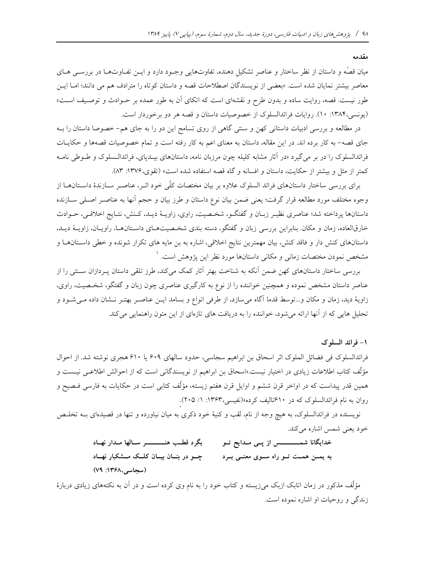مقدمه

میان قصّه و داستان از نظر ساختار و عناصر تشکیل دهنده، تفاوتهایی وجـود دارد و ایــن تفــاوتهــا در بررســی هــای معاصر بيشتر نمايان شده است. «بعضي از نويسندگان اصطلاحات قصه و داستان كوتاه را مترادف هم مي دانند؛ امـا ايــن طور نیست. قصه، روایت ساده و بدون طرح و نقشهای است که اتکای آن به طور عمده بر حـوادث و توصـیف اسـت» (یونسی،۱۳۸۴: ۱۰). روایات فرائدالسلوک از خصوصیات داستان و قصه هر دو برخوردار است.

در مطالعه و بررسی ادبیات داستانی کهن و سنتی گاهی از روی تسامح این دو را به جای هم- خصوصا داستان را بـه جای قصه- به کار برده اند. در این مقاله، داستان به معنای اعم به کار رفته است و تمام خصوصیات قصهها و حکایـات فرائدالسلوک را در بر میگیرد «در آثار مشابه کلیله چون مرزبان نامه، داستانهای بیـدیای، فرائدالـسلوک و طـوطی نامـه كمتر از مثل و بيشتر از حكايت، داستان و افسانه و گاه قصه استفاده شده است» (تقوى،١٣٧۶: ٨٣).

برای بررسی ساختار داستانهای فرائد السلوک علاوه بر بیان مختصات کلّی خود اثـر، عناصـر سـازندهٔ داسـتانهــا از وجوه مختلف مورد مطالعه قرار گرفت؛ يعني ضمن بيان نوع داستان و طرز بيان و حجم آنها به عناصـر اصـلـي ســازنده داستانها پرداخته شد؛ عناصري نظيـر زبـان و گفتگــو، شخــصيت، راوي، زاويــهٔ ديـد، كـنش، نتــايج اخلاقــي، حــوادث خارقالعاده، زمان و مکان بنابراین بررسی زبان و گفتگو، دسته بندی شخصیتهای داستانها، راویـان، زاویــهٔ دیــد، داستانهای کنش دار و فاقد کنش، بیان مهمترین نتایج اخلاقی، اشاره به بن مایه های تکرار شونده و خطی داستانها و مشخص نمودن مختصات زمانى و مكانى داستانها مورد نظر اين يژوهش است. <sup>١</sup>

بررسی ساختار داستانهای کهن ضمن آنکه به شناخت بهتر آثار کمک میکند، طرز تلقی داستان پـردازان سـتتی را از عناصر داستان مشخص نموده و همچنین خواننده را از نوع به کارگیری عناصری چون زبان و گفتگو، شخـصیت، راوی، زاویهٔ دید، زمان و مکان و…توسط قدما آگاه میسازد، از طرفی انواع و بسامد ایــن عناصــر بهتــر نــشان داده مــیشــود و تحلیل هایی که از آنها ارائه می شود، خواننده را به دریافت های تازمای از این متون راهنمایی می کند.

۱- فرائد السلوک

فرائدالسلوک فی فضائل الملوک اثر اسحاق بن ابراهیم سجاسی، حدود سالهای ۶۰۹ یا ۶۱۰ هجری نوشته شد. از احوال مؤلِّف كتاب اطلاعات زيادي در اختيار نيست.«اسحاق بن ابراهيم از نويسندگان<sub>ی</sub> است كه از احوالش اطلاعــي نيــست و همین قدر پیداست که در اواخر قرن ششم و اوایل قرن هفتم زیسته، مؤلّف کتابی است در حکایات به فارسی فـصیح و روان به نام فرائدالسلوک که در ۶۱۰تالیف کرده»(نفیسی،۱۳۶۳: ۱/ ۲۰۵).

نویسنده در فرائدالسلوک، به هیچ وجه از نام، لقب و کنیهٔ خود ذکری به میان نیاورده و تنها در قصیدهای بــه تخلـص خود يعني شمس اشاره مي كند.

> بگرد قطب هنسسسر سالها مدار نهاد خدایگانا شمــــــــــس از پــی مــدایح تــو چو در بنسان بیسان کلسک مسشکبار نهساد به یمـن همـت تـو راه سـوی معنـی بـرد (سجاسی،۱۳۶۸: ۷۹)

مؤلِّف مذکور در زمان اتابک ازبک می(پسته و کتاب خود را به نام وی کرده است و در آن به نکتههای زیادی دربارهٔ زندگی و روحیات او اشاره نموده است.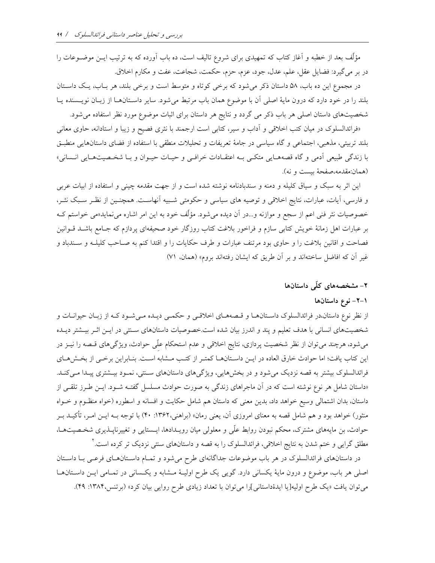مؤلَّف بعد از خطبه و آغاز کتاب که تمهیدی برای شروع تالیف است، ده باب آورده که به ترتیب ایــن موضــوعات را در بر مي گيرد: فضايل عقل، علم، عدل، جود، عزم، حزم، حكمت، شجاعت، عفت و مكارم اخلاق.

در مجموع این ده باب، ۵۸ داستان ذکر می شود که برخی کوتاه و متوسط است و برخی بلند، هر بـاب، یـک داسـتان بلند را در خود دارد که درون مایهٔ اصلی آن با موضوع همان باب مرتبط میشود. سایر داسـتانهــا از زبــان نویــسنده یــا شخصیتهای داستان اصلی هر باب ذکر می گردد و نتایج هر داستان برای اثبات موضوع مورد نظر استفاده می شود.

«فرائدالسلوک در میان کتب اخلاقی و آداب و سیر، کتابی است ارجمند با نثری فصیح و زیبا و استادانه، حاوی معانی بلند تربیتی، مذهبی، اجتماعی و گاه سیاسی در جامهٔ تعریفات و تحلیلات منطقی با استفاده از فضای داستانهایی منطبـق با زندگی طبیعی ادمی و گاه قصههـایی متکـی بـه اعتقـادات خرافـی و حیـات حیـوان و بـا شخـصیتهـایی انـسانی» (همان:مقدمه،صفحهٔ بیست و نه).

این اثر به سبک و سیاق کلیله و دمنه و سندبادنامه نوشته شده است و از جهت مقدمه چینی و استفاده از ابیات عربی و فارسی، آیات، عبارات، نتایج اخلاقی و توصیه های سیاسی و حکومتی شـبیه آنهاسـت. همچنـین از نظـر سـبک نشـر، خصوصیات نثر فنی اعم از سجع و موازنه و…در آن دیده میشود. مؤلّف خود به این امر اشاره مینماید«می خواستم کـه بر عبارات اهل زمانهٔ خویش کتابی سازم و فراخور بلاغت کتاب روزگار خود صحیفهای پردازم که جـامع باشــد قــوانین فصاحت و اقانین بلاغت را و حاوی بود مرتنف عبارات و طرف حکایات را و اقتدا کنم به صـاحب کلیلــه و سـندباد و غیر آن که افاضل ساختهاند و بر آن طریق که ایشان رفتهاند بروم» (همان، ۷۱)

## ۲– مشخصههای کلّی داستانها

## ۱–۲– نوع داستانها

از نظر نوع داستان،در فرائدالسلوک داسـتانهـا و قـصههـای اخلاقـی و حکمـی دیـده مـیشـود کـه از زبـان حیوانـات و شخصیتهای انسانی با هدف تعلیم و پند و اندرز بیان شده است.خصوصیات داستانهای سـنتی در ایــن اثــر بیــشتر دیــده میشود، هرچند می توان از نظر شخصیت پردازی، نتایج اخلاقی و عدم استحکام علّی حوادث، ویژگیهای قـصه را نیــز در این کتاب یافت؛ اما حوادث خارق العاده در ایـن داسـتانهـا کمتـر از کتـب مـشابه اسـت. بنـابراین برخـی از بخـشهـای فرائدالسلوک بیشتر به قصه نزدیک می شود و در بخشهایی، ویژگیهای داستانهای ستتی، نمـود بیـشتری پیـدا مـیکنـد. «داستان شامل هر نوع نوشته است كه در آن ماجراهاى زندگى به صورت حوادث مسلسل گفتـه شـود. ايـن طـرز تلقـى از داستان، بدان اشتمالی وسیع خواهد داد، بدین معنی که داستان هم شامل حکایت و افسانه و اسطوره (خواه منظـوم و خــواه منثور) خواهد بود و هم شامل قصه به معنای امروزی آن، یعنی رمان» (براهنی،۱۳۶۲: ۴۰) با توجه بــه ایــن امــر، تأکیــد بــر حوادث، بن مایههای مشترک، محکم نبودن روابط علّی و معلولی میان رویـدادها، ایـستایی و تغییرناپــذیری شخـصیتهــا، مطلق گرایی و ختم شدن به نتایج اخلاقی، فرائدالسلوک را به قصه و داستانهای سنتی نزدیک تر کرده است. ٔ

در داستانهای فرائدالسلوک در هر باب موضوعات جداگانهای طرح میشود و تمـام داسـتانهـای فرعـی بـا داسـتان اصلي هر باب، موضوع و درون مايهٔ يكساني دارد. گويي يک طرح اوليـهٔ مـشابه و يكـساني در تمـامي ايـن داسـتانهـا می توان یافت «یک طرح اولیه[یا ایدهٔداستانی]را می توان با تعداد زیادی طرح روایی بیان کرد» (برتنس،۱۳۸۴: ۴۹).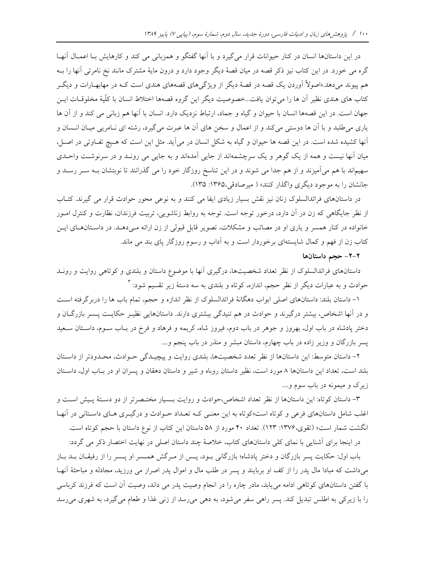در این داستانها انسان در کنار حیوانات قرار می گیرد و با آنها گفتگو و همزبانی می کند و کارهایش بـا اعمـال آنهـا گره می خورد. در این کتاب نیز ذکر قصه در میان قصهٔ دیگر وجود دارد و درون مایهٔ مشترک مانند نخ نامرئی آنها را بـه هم پیوند میدهد.«اصولاً آوردن یک قصه در قصهٔ دیگر از ویژگیهای قصههای هندی است کـه در مهابهـارات و دیگـر كتاب هاى هندى نظير آن ها را مىتوان يافت...خصوصيت ديگر اين گروه قصهها اختلاط انسان با كلّيهٔ مخلوقـات ايــن جهان است. در این قصهها انسان با حیوان و گیاه و جماد، ارتباط نزدیک دارد. انسان با آنها هم زبانی می کند و از آن ها یاری می طلبد و با آن ها دوستی می کند و از اعمال و سخن های آن ها عبرت می گیرد، رشته ای نـامریی میـان انـسان و أنها كشيده شده است. در اين قصه ها حيوان و گياه به شكل انسان در مي آيد. مثل اين است كه هـيچ تفـاوتي در اصـل، میان آنها نیست و همه از یک گوهر و یک سرچشمهاند از جایی آمدهاند و به جایی می رونـد و در سرنوشـت واحـدی سهیماند با هم میآمیزند و از هم جدا می شوند و در این تناسخ روزگار خود را می گذرانند تا نوبتشان بـه سـر رسـد و جانشان را به موجود دیگری واگذار کنند» ( میرصادقی،۱۳۶۵: ۱۳۵).

در داستانهای فرائدالسلوک زنان نیز نقش بسیار زیادی ایفا می کنند و به نوعی محور حوادث قرار می گیرند. کتـاب از نظر جایگاهی که زن در آن دارد، درخور توجه است. توجه به روابط زناشویی، تربیت فرزندان، نظارت و کنترل امـور خانواده در کنار همسر و یاری او در مصائب و مشکلات، تصویر قابل قبولی از زن ارائه مـیدهـد. در داسـتانهـای ایـن کتاب زن از فهم و کمال شایستهای برخوردار است و به آداب و رسوم روزگار پای بند می ماند.

### ۲-۲- حجم داستانها

داستانهای فرائدالسلوک از نظر تعداد شخصیتها، درگیری آنها با موضوع داستان و بلندی و کوتاهی روایت و رونــد حوادث و به عبارات دیگر از نظر حجم، اندازه، کوتاه و بلندی به سه دستهٔ زیر تقسیم شود: ۳

۱– داستان بلند: داستانهای اصلی ابواب دهگانهٔ فرائدالسلوک از نظر اندازه و حجم، تمام باب ها را دربرگرفته است و در آنها اشخاص، بیشتر درگیرند و حوادث در هم تنیدگی بیشتری دارند. داستانهایی نظیـر حکایـت پـسر بازرگـان و دختر پادشاه در باب اول، بهروز و جوهر در باب دوم، فیروز شاه، کریمه و فرهاد و فرخ در بـاب سـوم، داسـتان سـعید پسر بازرگان و وزیر زاده در باب چهارم، داستان مبشر و منذر در باب پنجم و....

۲- داستان متوسط: این داستانها از نظر تعدد شخصیتها، بلندی روایت و پیچیـدگی حـوادث، محـدودتر از داسـتان بلند است، تعداد این داستانها ۸ مورد است، نظیر داستان روباه و شیر و داستان دهقان و پسران او در بـاب اول، داسـتان زیرک و میمونه در باب سوم و....

٣- داستان كوتاه: اين داستانها از نظر تعداد اشخاص،حوادث و روايت بـسيار مختـصرتر از دو دسـتهٔ يـيش اسـت و اغلب شامل داستانهای فرعی و کوتاه است«کوتاه به این معنبی کـه تعـداد حـوادث و درگیـری هـای داسـتانی در آنهـا انگشت شمار است» (تقوی،۱۳۷۶: ۱۲۳). تعداد ۴۰ مورد از ۵۸ داستان این کتاب از نوع داستان با حجم کوتاه است.

در اینجا برای اَشنایی با نمای کلی داستانهای کتاب، خلاصهٔ چند داستان اصلی در نهایت اختصار ذکر می گردد:

باب اول: حکایت پسر بازرگان و دختر پادشاه؛ بازرگانی بـود، پـس از مـرگش همـسر او پـسر را از رفیقـان بـد بــاز میداشت که مبادا مال پدر را از کف او بربایند و پسر در طلب مال و اموال پدر اصرار می ورزید، مجادله و مباحثهٔ آنهـا با گفتن داستانهای کوتاهی ادامه می پابد، مادر چاره را در انجام وصیت پدر می داند، وصیت آن است که فرزند کرباسی را با زیرکی به اطلس تبدیل کند. پسر راهی سفر میشود، به دهی میرسد از زنی غذا و طعام میگیرد، به شهری میرسد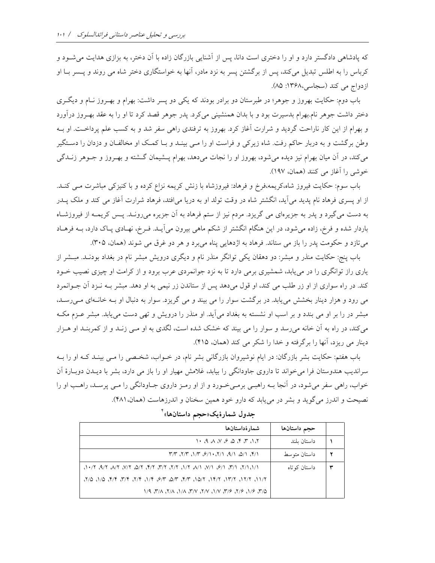که پادشاهی دادگستر دارد و او را دختری است دانا، پس از آشنایی بازرگان زاده با اَن دختر، به بزازی هدایت می شــود و کرباس را به اطلس تبدیل می کند، پس از برگشتن پسر به نزد مادر، آنها به خواستگاری دختر شاه می روند و پــسر بــا او ازدواج می کند (سجاسی،۱۳۶۸: ۸۵).

باب دوم: حکایت بهروز و جوهر؛ در طبرستان دو برادر بودند که یکی دو پسر داشت: بهرام و بهـروز نـام و دیگـری دختر داشت جوهر نام.بهرام بدسیرت بود و با بدان همنشینی میکرد. پدر جوهر قصد کرد تا او را به عقد بهـروز درآورد و بهرام از این کار ناراحت گردید و شرارت آغاز کرد. بهروز به ترفندی راهی سفر شد و به کسب علم پرداخت. او بـه وطن برگشت و به دربار حاکم رفت. شاه زیرکی و فراست او را مـی بینـد و بـا کمـک او مخالفـان و دزدان را دسـتگیر می کند، در اَن میان بهرام نیز دیده می شود، بهروز او را نجات می دهد، بهرام پـــشیمان گـــشته و بهــروز و جــوهر زنــدگی خوشی را آغاز می کنند (همان، ۱۹۷).

باب سوم: حکایت فیروز شاه،کریمه،فرخ و فرهاد: فیروزشاه با زنش کریمه نزاع کرده و با کنیزکی مباشرت مـی کنـد. از او پسری فرهاد نام پدید می آید، انگشتر شاه در وقت تولد او به دریا می|فتد، فرهاد شرارت آغاز می کند و ملک پــدر به دست می گیرد و پدر به جزیرهای می گریزد. مردم نیز از ستم فرهاد به آن جزیره میرونـد. پـس کریمـه از فیروزشـاه باردار شده و فرخ، زاده میشود، در این هنگام انگشتر از شکم ماهی بیرون میآیـد. فــرخ، نهـادی پــاک دارد، بــه فرهــاد میتازد و حکومت پدر را باز می ستاند. فرهاد به اژدهایی پناه میبرد و هر دو غرق می شوند (همان، ۳۰۵).

باب پنج: حکایت منذر و مبشر: دو دهقان یکی توانگر منذر نام و دیگری درویش مبشر نام در بغداد بودنـد. مبـشر از یاری راز توانگری را در می یابد، شمشیری برمی دارد تا به نزد جوانمردی عرب برود و از کرامت او چیزی نصیب خــود کند. در راه سواری از او زر طلب می کند، او قول می دهد پس از ستاندن زر نیمی به او دهد. مبشر بـه نــزد آن جــوانمرد می رود و هزار دینار بخشش می یابد. در برگشت سوار را می بیند و می گریزد. سوار به دنبال او بـه خانـهای مـی(سـد، مبشر در را بر او می بندد و بر اسب او نشسته به بغداد می آید. او منذر را درویش و تهی دست می یابد. مبشر عــزم مکــه می کند، در راه به آن خانه می رسد و سوار را می بیند که خشک شده است، لگدی به او مــی زنــد و از کمربنــد او هــزار دينار مي ريزد، آنها را برگرفته و خدا را شكر مي كند (همان، ۴۱۵).

باب هفتم: حکایت بشر بازرگان: در ایام نوشیروان بازرگانی بشر نام، در خـواب، شخـصی را مـی بینـد کـه او را بـه سراندیب هندوستان فرا می خواند تا داروی جاودانگی را بیابد، غلامش مهیار او را باز می دارد، بشر با دیـدن دوبـارهٔ آن خواب، راهي سفر مي شود، در اّنجا بــه راهبــي برمــي خــورد و از او رمــز داروي جــاودانگي را مــي پرســد، راهــب او را نصيحت و اندرز مي گويد و بشر در مي بايد كه دارو خود همين سخنان و اندرزهاست (همان، ۴۸۱).

| شمار ۂداستانھا                                                            | حجم داستانها  |  |
|---------------------------------------------------------------------------|---------------|--|
| い A A N S Q f T A T                                                       | داستان ىلند   |  |
| 1/3, 1/6, 1/6, 1/7, 1/ <i>9, 4/1, 4/1, 4/7</i>                            | داستان متوسط  |  |
|                                                                           | داستان کو تاه |  |
| ٦/٢، ١٢/٢، ١٣/٢، ١٩/٢، ١٥/٢، ٣/٣، ٣/٣، ٣/٣، ١/٩، ٣/٣، ١/٥، ١/٥، ٢/٢، ١/٥، |               |  |
| N/9 J/A J/A J/A J/V J/V J/V J/Y 3/6 J/6 J/7 2                             |               |  |

جدول شمارهٔیک«حجم داستانها» ٔ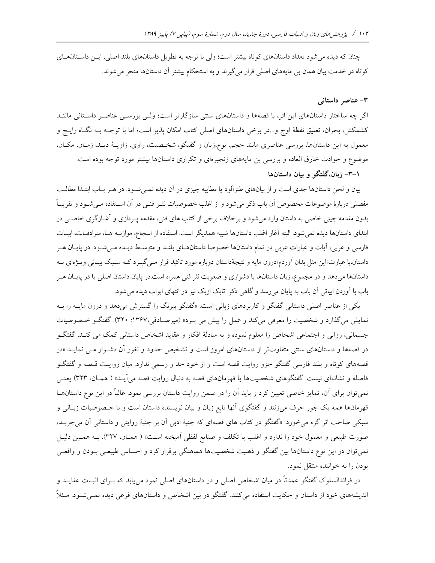چنان که دیده می شود تعداد داستانهای کوتاه بیشتر است؛ ولی با توجه به تطویل داستانهای بلند اصلی، ایس داستانهای کوتاه در خدمت بیان همان بن مایههای اصلی قرار میگیرند و به استحکام بیشتر آن داستانها منجر می شوند.

#### ۳- عناصر داستانی

اگر چه ساختار داستانهای این اثر، با قصهها و داستانهای سنتی سازگارتر است؛ ولـی بررسـی عناصـر داسـتانی ماننـد كشمكش، بحران، تعليق نقطهٔ اوج و…در برخي داستانهاي اصلي كتاب امكان پذير است؛ اما با توجـه بــه نگــاه رايــج و معمول به این داستانها، بررسی عناصری مانند حجم، نوع،زبان و گفتگو، شخـصیت، راوی، زاویــهٔ دیــد، زمــان، مکــان، موضوع و حوادث خارق العاده و بررسی بن مایههای زنجیرهای و تکراری داستانها بیشتر مورد توجه بوده است.

۰–۳– زبان،گفتگو و بیان داستانها

بیان و لحن داستانها جدی است و از بیانهای طنزآلود یا مطایبه چیزی در آن دیده نمــیشــود. در هــر بــاب ابتــدا مطالــب مفصلي دربارهٔ موضوعات مخصوص آن باب ذکر مي شود و از اغلب خصوصيات نشر فنــي در آن اســتفاده مــي شــود و تقريبـاً بدون مقدمه چینی خاصی به داستان وارد می شود و برخلاف برخی از کتاب های فنی، مقدمه پــردازی و آغــازگری خاصــی در ابتدای داستانها دیده نمی شود. البته آغاز اغلب داستانها شبیه همدیگر است. استفاده از اسجاع، موازنــه هــا، مترادفــات، ابیــات فارسی و عربی، آیات و عبارات عربی در تمام داستانها خصوصا داستانهـای بلنـد و متوسـط دیـده مـی شـود. در پایـان هـر داستان،با عبارت«این مثل بدان آوردم»درون مایه و نتیجهٔداستان دوباره مورد تاکید قرار مـبی گیــرد کــه سـبک بیــانی ویــژهای بــه داستانها میدهد و در مجموع، زبان داستانها با دشواری و صعوبت نثر فنی همراه است.در پایان داستان اصلی یا در پایـان هـر باب با آوردن ابیاتی آن باب به پایان میرسد و گاهی ذکر اتابک ازبک نیز در انتهای ابواب دیده می شود.

یکی از عناصر اصلی داستانی گفتگو و کاربردهای زبانی است. «گفتگو پیرنگ را گسترش میدهد و درون مایــه را بــه نمایش میگذارد و شخصیت را معرفی میکند و عمل را پیش می بـرد» (میرصـادقی،۱۳۶۷: ۳۲۰). گفتگـو خـصوصیات جسمانی، روانی و اجتماعی اشخاص را معلوم نموده و به مبادلهٔ افکار و عقاید اشخاص داستانی کمک می کنـد. گفتگـو در قصهها و داستانهای سنتی متفاوتتر از داستانهای امروز است و تشخیص حدود و ثغور آن دشـوار مـی نمایــد «در قصههای کوتاه و بلند فارسی گفتگو جزو روایت قصه است و از خود حد و رسمی ندارد. میان روایت قـصه و گفتگــو فاصله و نشانهای نیست. گفتگوهای شخصیتها یا قهرمانهای قصه به دنبال روایت قصه می آیـد» ( همـان، ۳۲۳) یعنـی نمیتوان برای آن، تمایز خاصی تعیین کرد و باید آن را در ضمن روایت داستان بررسی نمود. غالباً در این نوع داستانهـا قهرمانها همه یک جور حرف میزنند و گفتگوی آنها تابع زبان و بیان نویسندهٔ داستان است و با خـصوصیات زبـانی و سبکی صاحب اثر گره میخورد. «گفتگو در کتاب های قصهای که جنبهٔ ادبی آن بر جنبهٔ روایتی و داستانی آن میچربـد، صورت طبیعی و معمول خود را ندارد و اغلب با تکلف و صنایع لفظی اَمیخته اسـت» ( همـان، ۳۲۷). بــه همـین دلیــل نمیتوان در این نوع داستانها بین گفتگو و ذهنیت شخصیتها هماهنگی برقرار کرد و احساس طبیعـی بـودن و واقعـی بودن را به خواننده منتقل نمود.

در فرائدالسلوک گفتگو عمدتاً در میان اشخاص اصلی و در داستانهای اصلی نمود میbیابد که بـرای اثبــات عقایــد و اندیشههای خود از داستان و حکایت استفاده میکنند. گفتگو در بین اشخاص و داستانهای فرعی دیده نمــیشــود. مـثلاً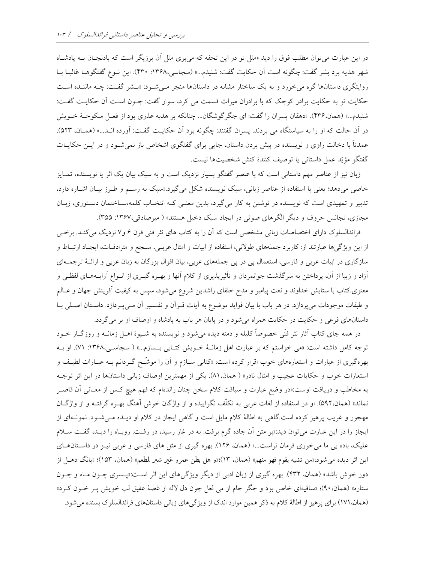در این عبارت میتوان مطلب فوق را دید «مثل تو در این تحفه که میبری مثل آن برزیگر است که بادنجـان بــه یادشــاه شهر هديه برد بشر گفت: چگونه است آن حكايت گفت: شنيدم...» (سجاسي،١٣۶٨: ٣٣٠). اين نـوع گفتگوهـا غالبـا بـا روایتگری داستانها گره می خورد و به یک ساختار مشابه در داستانها منجر می شود: «بـشر گفـت: چـه ماننـده اسـت حکایت تو به حکایت برادر کوچک که با برادران میراث قسمت می کرد، سوار گفت: چـون اسـت آن حکایـت گفـت: شنيدم...» (همان،۴۳۶). «دهقان يسران را گفت: اي جگرگوشگان... چنانكه بر هدبه عذري بود از فعـل منكوحـهٔ خـويش در آن حالت که او را به سیاستگاه می بردند. پسران گفتند: چگونه بود آن حکایـت گفـت: آورده انـد...» (همـان، ۵۲۳). عمدتاً با دخالت راوی و نویسنده در پیش بردن داستان، جایی برای گفتگوی اشخاص باز نمیشود و در ایــن حکایــات گفتگو مؤيّد عمل داستاني يا توصيف كنندهٔ كنش شخصيتها نيست.

زبان نیز از عناصر مهم داستانی است که با عنصر گفتگو بسیار نزدیک است و به سبک بیان یک اثر یا نویسنده، تمـایز خاصی میدهد؛ یعنی با استفاده از عناصر زبانی، سبک نویسنده شکل میگیرد.«سبک به رسـم و طـرز بیـان اشـاره دارد، تدبیر و تمهیدی است که نویسنده در نوشتن به کار می گیرد، بدین معنـی کـه انتخـاب کلمه،سـاختمان دسـتوری، زبـان مجازي، تجانس حروف و ديگر الگوهاي صوتي در ايجاد سبک دخيل هستند» ( ميرصادقي،١٣۶٧: ٣٥۵).

فرائدالسلوک دارای اختصاصات زبانی مشخصی است که آن را به کتاب های نثر فنی قرن ۶ و۷ نزدیک میکنـد. برخـی از این ویژگیها عبارتند از: کاربرد جملههای طولانی، استفاده از ابیات و امثال عربـی، سـجع و مترادفـات، ایجـاد ارتبـاط و سازگاری در ابیات عربی و فارسی، استعمال پی در پی جملههای عربی، بیان اقوال بزرگان به زبان عربی و ارائـهٔ ترجمـهای آزاد و زیبا از آن، پرداختن به سرگذشت جوانمردان و تأثیرپذیری از کلام آنها و بهـره گیـری از انـواع آرایــههـای لفظـی و معنوی.کتاب با ستایش خداوند و نعت پیامبر و مدح خلفای راشدین شروع می شود، سپس به کیفیت آفرینش جهان و عـالم و طبقات موجودات می پردازد. در هر باب با بیان فواید موضوع به آیات قـرآن و نفـسیر آن مـیپـردازد. داسـتان اصـلی بـا داستانهای فرعی و حکایت در حکایت همراه می شود و در پایان هر باب به پادشاه و اوصاف او بر می گردد.

در همه جای کتاب آثار نثر فنّی خصوصاً کلیله و دمنه دیده میشود و نویسنده به شـیوهٔ اهـل زمانــه و روزگــار خــود توجه كامل داشته است: «مي خواستم كه بر عبارت اهل زمانـهٔ خـويش كتـابي بـسازم...» ( سجاسـي،١٣۶٨: ٧١). او بـه بهرهگیری از عبارات و استعارههای خوب اقرار کرده است: «کتابی ســازم و آن را موشّــح گــردانم بــه عبــارات لطیــف و استعارات خوب و حكايات عجيب و امثال نادر» ( همان. ٨١). يكي از مهمترين اوصاف زباني داستانها در اين اثر توجـه به مخاطب و دریافت اوست:«در وضع عبارت و سیاقت کلام سخن چنان راندهام که فهم هیچ کـس از معــانی آن قاصــر نماند» (همان،۵۹۲). او در استفاده از لغات عربی به تکلّف نگراییده و از واژگان خوش آهنگ بهـره گرفتـه و از واژگـان مهجور و غریب پرهیز کرده است.گاهی به اطالهٔ کلام مایل است و گاهی ایجاز در کلام او دیـده مـیشـود. نمونـهای از ایجاز را در این عبارت می توان دید:«بر متن آن جاده گرم برفت. به در غار رسید، در رفت. روبـاه را دیـد، گفـت سـلام علیک، باده بی ما می خوری فرمان تراست...» (همان، ۱۲۶). بهره گیری از مثل های فارسی و عربی نیـز در داسـتانهـای این اثر دیده می شود:«من تشبه بقوم فهو منهم» (همان، ١٣)؛«و هل بطن عمرو غیر شبر لمطعم» (همان، ١۵٣)؛ «بانگ دهـل از دور خوش باشد» (همان، ۴۳۲). بهره گیری از زبان ادبی از دیگر ویژگیهای این اثر است:«پسری چـون مـاه و چـون ستاره» (همان،۹۰)؛ «ساقیهای خاص بود و جگر جام از می لعل چون دل لاله از غصهٔ عقیق لب خویش پـر خــون کــرد» (همان، ۱۷۱) برای پرهیز از اطالهٔ کلام به ذکر همین موارد اندک از ویژگیهای زبانی داستانهای فرائدالسلوک بسنده میشود.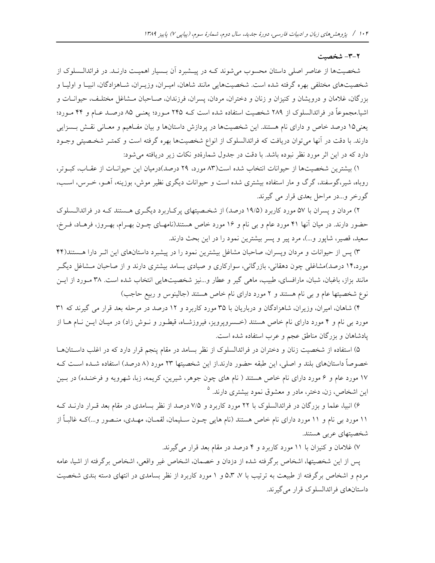#### ٢-٣- شخصت

شخصیتها از عناصر اصلی داستان محسوب می شوند کـه در پیــشبرد آن بــسیار اهمیــت دارنــد. در فرائدالــسلوک از شخصیتهای مختلفی بهره گرفته شده است. شخصیتهایی مانند شاهان، امیـران، وزیـران، شـاهزادگان، انبیـا و اولیـا و بزرگان، غلامان و درویشان و کنیزان و زنان و دختران، مردان، پسران، فرزندان، صـاحبان مـشاغل مختلـف، حیوانــات و اشیا.مجموعاً در فرائدالسلوک از ۲۸۹ شخصیت استفاده شده است کـه ۲۴۵ مـورد؛ یعنـی ۸۵ درصـد عـام و ۴۴ مـورد؛ یعنی۱۵ درصد خاص و دارای نام هستند. این شخصیتها در پردازش داستانها و بیان مفـاهیم و معـانی نقـش بـسزایی دارند. با دقت در آنها می توان دریافت که فرائدالسلوک از انواع شخصیتها بهره گرفته است و کمتـر شخـصیتی وجـود دارد که در این اثر مورد نظر نبوده باشد. با دقت در جدول شمارهٔدو نکات زیر دریافته می شود:

١) بيشترين شخصيتها از حيوانات انتخاب شده است(٨٣ مورد، ٢٩ درصد)درميان اين حيوانــات از عقــاب، كبــوتر، روباه، شیر،گوسفند، گرگ و مار استفاده بیشتری شده است و حیوانات دیگری نظیر موش، بوزینه، اَهــو، خــرس، اســب، گورخر و…در مراحل بعدی قرار می گیرند.

۲) مردان و پسران با ۵۷ مورد کاربرد (۱۹/۵ درصد) از شخـصیتهای پرکـاربرد دیگـری هـستند کـه در فرائدالـسلوک حضور دارند. در میان آنها ۴۱ مورد عام و بی نام و ۱۶ مورد خاص هستند(نامهـای چـون بهـرام، بهـروز، فرهـاد، فـرخ، سعید، قصیر، شاپور و...)، مرد پیر و پسر بیشترین نمود را در این بحث دارند.

۳) پس از حیوانات و مردان وپسران، صاحبان مشاغل بیشترین نمود را در پیشبرد داستانهای این اثـر دارا هـستند(۴۴ مورد،۱۴ درصد)مشاغلی چون دهقانی، بازرگانی، سوارکاری و صیادی بسامد بیشتری دارند و از صاحبان مـشاغل دیگـر مانند بزاز، باغبان، شبان، مارافسای، طبیب، ماهی گیر و عطار و…نیز شخصیتهایی انتخاب شده است. ۳۸ مـورد از ایــن نوع شخصیتها عام و بی نام هستند و ۲ مورد دارای نام خاص هستند (جالینوس و ربیع حاجب)

۴) شاهان، امیران، وزیران، شاهزادگان و درباریان با ۳۵ مورد کاربرد و ۱۲ درصد در مرحله بعد قرار می گیرند که ۳۱ مورد بی نام و ۴ مورد دارای نام خاص هستند (خسروپرویز، فیروزشـاه، قیطـور و نـوش زاد) در میـان ایـن نـام هـا از یادشاهان و بزرگان مناطق عجم و عرب استفاده شده است.

۵) استفاده از شخصیت زنان و دختران در فرائدالسلوک از نظر بسامد در مقام پنجم قرار دارد که در اغلب داسـتانهــا خصوصاً داستانهای بلند و اصلی، این طبقه حضور دارند.از این شخصیتها ۲۳ مورد (۸ درصد) استفاده شـده اسـت کـه ۱۷ مورد عام و ۶ مورد دارای نام خاص هستند ( نام های چون جوهر، شیرین، کریمه، زبا، شهرویه و فرخنـده) در بـین این اشخاص، زن، دختر، مادر و معشوق نمود بیشتری دارند. <sup>۵</sup>

۶) انبیا، علما و بزرگان در فرائدالسلوک با ۲۲ مورد کاربرد و ۷/۵ درصد از نظر بسامدی در مقام بعد قـرار دارنــد کــه ۱۱ مورد بی نام و ۱۱ مورد دارای نام خاص هستند (نام هایی چــون ســلیمان، لقمــان، مهــدی، منــصور و…)کــه غالبــأ از شخصیتهای عربی هستند.

۷) غلامان و کنیزان با ۱۱ مورد کاربرد و ۴ درصد در مقام بعد قرار می گیرند.

يس از اين شخصيتها، اشخاص برگرفته شده از دزدان و خصمان، اشخاص غير واقعي، اشخاص برگرفته از اشيا، عامه مردم و اشخاص برگرفته از طبیعت به ترتیب با ۷، ۵،۳ و ۱ مورد کاربرد از نظر بسامدی در انتهای دسته بندی شخصیت داستانهای فرائدالسلوک قرار می گیرند.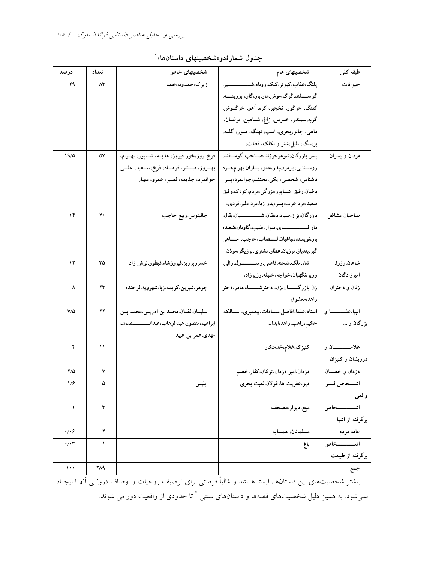| درصد                  | تعداد | شخصیتهای خاص                                        | شخصیتهای عام                                         | طبقه کلمی             |
|-----------------------|-------|-----------------------------------------------------|------------------------------------------------------|-----------------------|
| 29                    | ۸۳    | زيرك حمدونه عصا                                     | پلنگ،عقاب،کبوتر،کبک،روباه،شـــــــــــــــير،        | حيوانات               |
|                       |       |                                                     | گوســــفند،گرگ،موش،مار،باز،گاو، بوزینـــــه،         |                       |
|                       |       |                                                     | کلنگ، خرگور، نخجیر، کره، آهو، خرگــوش،               |                       |
|                       |       |                                                     | گربه،سمندر، خــرس، زاغ، شــاهین، مرغــان،            |                       |
|                       |       |                                                     | ماهي، جانوربحري، اسب، نهنگ، مــور، گلــه،            |                       |
|                       |       |                                                     | بز،سگ، بلبل،شتر و لکلک، قطات،                        |                       |
| 19/0                  | ۵۷    | فرخ روز،خور فيروز، هدبــه، شــاپور، بهــرام،        | پسر بازرگان،شوهر،فرزند،صــاحب گوســفند،              | مردان و پسران         |
|                       |       | بهـــروز، مبــــشر، فرهــــاد، فرخ،ســـعيد، علــــی | روســتايي،پيرمرد،پدر،عمو، يــاران بهرام،فــرد        |                       |
|                       |       | جوانمرد، جذيمه، قصير، عمرو، مهيار                   | ناشناس، شخصي، يكي،محتشم،جوانمرد،پسر                  |                       |
|                       |       |                                                     | باغبان،رفيق شــاپور،بزرگى،مردم،كودک،رفيق             |                       |
|                       |       |                                                     | سعید،مرد عرب،پسر،پدر زبا،مرد دلیر،فردی،              |                       |
| ۱۴                    | ۴۰    | جالينوس،ربيع حاجب                                   | بازرگان،بزاز،صیاد،دهقان،شـــــــــــــبان،بقال،      | صاحبان مشاغل          |
|                       |       |                                                     | مارافـــــــــــــساي،سوار،طبيب،گاوبان،شعبده         |                       |
|                       |       |                                                     | باز،نويسنده،باغبان،قـــصاب،حاجب، مـــاهى             |                       |
|                       |       |                                                     | گیر،بندباز،مرزبان،عطار،مشتری،برزیگر،موذن             |                       |
| ۱۲                    | ٣۵    | خسروپرویز،فیروزشاه،قیطور،نوش زاد                    | شاه،ملک،شحنه،قاضی،رســـــــول،والی،                  | شاهان،وزرا،           |
|                       |       |                                                     | وزير،نگهبان،خواجه،خليفه،وزيرزاده                     | امیرزادگان            |
| ۸                     | ۲۳    | جوهر،شیرین،کریمه،زبا،شهرویه،فرخنده                  | زن بازرگــــــــــان،زن، دخترشــــــــــاه،مادر،دختر | زنان و دختران         |
|                       |       |                                                     | زاهد،معشوق                                           |                       |
| $V/\Delta$            | ۲۲    | سليمان،لقمان،محمد بن ادريس،محمد بــن                | استاد،علما،افاضل،سادات،پيغمبري، سالك،                | انبيا،علمـــــــا و   |
|                       |       | ابراهيم،منصور،عبدالوهاب،عبدالــــــــــصمد،         | حكيم،راهب،زاهد،ابدال                                 | بزرگان و              |
|                       |       | مهدی،عمر بن عبید                                    |                                                      |                       |
| ۴                     | ۱۱    |                                                     | كنيزك،غلام،خدمتكار                                   | غلامـــــــــــــان و |
|                       |       |                                                     |                                                      | درویشان و کنیزان      |
| $Y/\Delta$            | ٧     |                                                     | دزدان،امیر دزدان،ترکان،کفار،خصم                      | دزدان و خصمان         |
| ۱/۶                   |       | ابليس                                               | ديو،عفريت ها،غولان،لعبت بحرى                         | اشــخاص فــرا         |
|                       |       |                                                     |                                                      | واقعى                 |
| $\sqrt{2}$            | ٣     |                                                     | ميخ،ديوار،مصحف                                       | ــــــخاص<br>اشه      |
|                       |       |                                                     |                                                      | برگرفته از اشیا       |
| $\cdot/\cdot$ ۶       | ۲     |                                                     | مسلمانان، همسايه                                     | عامه مردم             |
| $\cdot/\cdot$ ۳       | ١     |                                                     | باغ                                                  | اشـــــــــــخاص      |
|                       |       |                                                     |                                                      | برگرفته از طبیعت      |
| $\lambda \cdot \cdot$ | 219   |                                                     |                                                      | جمع                   |

جدول شمارهٔدو«شخصیتهای داستانها» ٔ

بیشتر شخصیتهای این داستانها، ایستا هستند و غالباً فرصتی برای توصیف روحیات و اوصاف درونـی آنهــا ایجــاد نمیشود. به همین دلیل شخصیتهای قصهها و داستانهای سنتی <sup>۷</sup> تا حدودی از واقعیت دور می شوند.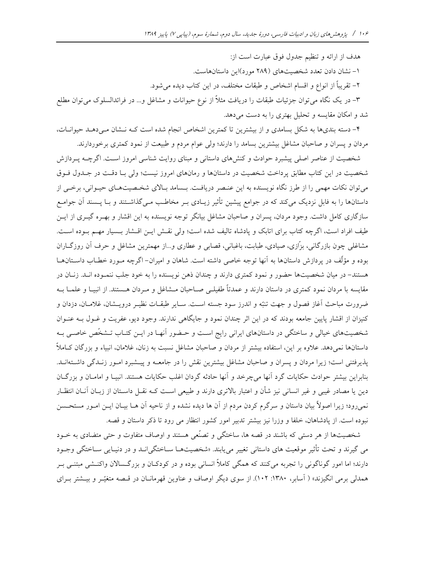هدف از ارائه و تنظیم جدول فوق عبارت است از: ١- نشان دادن تعدد شخصیتهای (٢٨٩ مورد)این داستانهاست. ٢– تقريباً از انواع و اقسام اشخاص و طبقات مختلف، در اين كتاب ديده مي شود. ۳– در یک نگاه می توان جزئیات طبقات را دریافت مثلاً از نوع حیوانات و مشاغل و… در فرائدالسلوک می توان مطلع شد و امکان مقایسه و تحلیل بهتری را به دست میدهد.

۴- دسته بندیها به شکل بسامدی و از بیشترین تا کمترین اشخاص انجام شده است کـه نـشان مـیدهـد حیوانــات، مردان و پسران و صاحبان مشاغل بیشترین بسامد را دارند؛ ولی عوام مردم و طبیعت از نمود کمتری برخوردارند.

شخصیت از عناصر اصلی پیشبرد حوادث و کنشهای داستانی و مبنای روایت شناسی امروز اسـت. اگرچــه پــردازش شخصیت در این کتاب مطابق پرداخت شخصیت در داستانها و رمانهای امروز نیست؛ ولی بـا دقـت در جـدول فـوق می توان نکات مهمی را از طرز نگاه نویسنده به این عنـصر دریافـت. بـسامد بـالای شخـصیتهـای حیـوانی، برخـی از داستانها را به فابل نزدیک میکند که در جوامع پیشین تأثیر زیـادی بـر مخاطـب مـیگذاشـتند و بـا پــسند آن جوامـع سازگاری کامل داشت. وجود مردان، پسران و صاحبان مشاغل بیانگر توجه نویسنده به این اقشار و بهـره گیـری از ایـن طيف افراد است، اگرچه كتاب براي اتابك و يادشاه تاليف شده است؛ ولي نقش ايـن اقـشار بـسيار مهـم بـوده اسـت. مشاغلی چون بازرگانی، بزّازی، صیادی، طبابت، باغبانی، قصابی و عطاری و...از مهمترین مشاغل و حرف آن روزگــاران بوده و مؤلِّف در پردازش داستانها به آنها توجه خاصی داشته است. شاهان و امیران- اگرچه مـورد خطـاب داسـتانهــا هستند- در میان شخصیتها حضور و نمود کمتری دارند و چندان ذهن نویسنده را به خود جلب ننمـوده انــد. زنــان در مقایسه با مردان نمود کمتری در داستان دارند و عمدتاً طفیلـی صــاحبان مــشاغل و مـردان هــستند. از انبیــا و علمــا بــه ضرورت مباحث آغاز فصول و جهت تنبّه و اندرز سود جسته اسـت. سـاير طبقــات نظيــر درويــشان، غلامــان، دزدان و کنیزان از اقشار پایین جامعه بودند که در این اثر چندان نمود و جایگاهی ندارند. وجود دیو، عفریت و غــول بــه عنــوان شخصیتهای خیالی و ساختگی در داستانهای ایرانی رایج است و حـضور آنهـا در ایــن کتـاب تـشخّص خاصــی بــه داستانها نمیدهد. علاوه بر این، استفاده بیشتر از مردان و صاحبان مشاغل نسبت به زنان، غلامان، انبیاء و بزرگان کــاملأ پذیرفتنی است؛ زیرا مردان و پسران و صاحبان مشاغل بیشترین نقش را در جامعــه و پیــشبرد امــور زنــدگی داشــتهانــد. بنابراین بیشتر حوادث حکایات گرد آنها میچرخد و آنها حادثه گردان اغلب حکایات هستند. انبیـا و امامـان و بزرگـان دین یا مصادر غیبی و غیر انسانی نیز شأن و اعتبار بالاتری دارند و طبیعی است کـه نقـل داسـتان از زبــان آنــان انتظــار نمیرود؛ زیرا اصولاً بیان داستان و سرگرم کردن مردم از آن ها دیده نشده و از ناحیه آن هـا بیـان ایــن امـور مستحـسن نبوده است. از پادشاهان، خلفا و وزرا نیز بیشتر تدبیر امور کشور انتظار می رود تا ذکر داستان و قصه.

شخصیتها از هر دستی که باشند در قصه ها، ساختگی و تصنّعی هستند و اوصاف متفاوت و حتی متضادی به خــود مي گيرند و تحت تأثير موقعيت هاي داستاني تغيير مي يابند. «شخصيتهــا ســاختگي|نــد و در دنيــايي ســاختگي وجــود دارند؛ اما امور گوناگونی را تجربه میکنند که همگی کاملاً انسانی بوده و در کودکـان و بزرگـسالان واکنــشی مبتنــی بــر همدلی برمی انگیزند» ( آسابر، ۱۳۸۰: ۱۰۲). از سوی دیگر اوصاف و عناوین قهرمانــان در قــصه متغیّــر و بیــشتر بــرای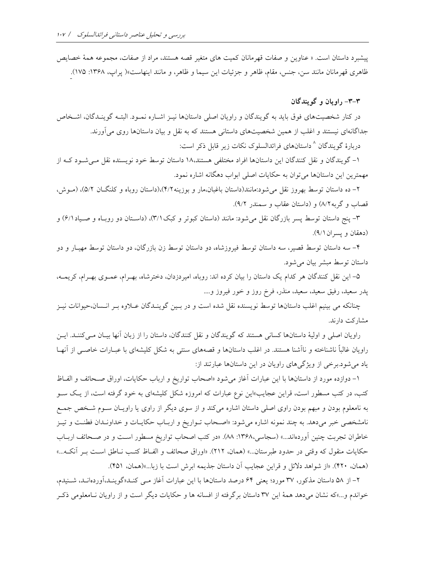پیشبرد داستان است. « عناوین و صفات قهرمانان کمیت های متغیر قصه هستند، مراد از صفات، مجموعه همهٔ خصایص ظاهري قهرمانان مانند سن، جنس، مقام، ظاهر و جزئيات اين سيما و ظاهر، و مانند اينهاست»( پراپ، ۱۳۶۸: ۱۷۵).

۳-۳- راويان و گويندگان

در کنار شخصیتهای فوق باید به گویندگان و راویان اصلی داستانها نیـز اشـاره نمـود. البتـه گوینـدگان، اشـخاص جداگانهای نیستند و اغلب از همین شخصیتهای داستانی هستند که به نقل و بیان داستانها روی می آورند. دربارهٔ گویندگان ^داستانهای فرائدالسلوک نکات زیر قابل ذکر است:

۱– گویندگان و نقل کنندگان این داستانها افراد مختلفی هستند،۱۸ داستان توسط خود نویسنده نقل مـیشـود کـه از

مهمترین این داستانها می توان به حکایات اصلی ابواب دهگانه اشاره نمود.

۲– ده داستان توسط بهروز نقل می شود:مانند(داستان باغبان،مار و بوزینه ۴/۲)،(داستان روباه و کلنگــان ۵/۲)، (مــوش، قصاب و گربه۸/۲) و (داستان عقاب و سمندر ۹/۲).

۳- پنج داستان توسط پسر بازرگان نقل می شود: مانند (داستان کبوتر و کبک ۳/۱)، (داسـتان دو روبـاه و صـياد ۶/۱) و (دهقان ويسران ٩/١).

۴– سه داستان توسط قصیر، سه داستان توسط فیروزشاه، دو داستان توسط زن بازرگان، دو داستان توسط مهیـار و دو داستان توسط مبشر بيان مي شود.

۵– این نقل کنندگان هر کدام یک داستان را بیان کرده اند: روباه، امیردزدان، دخترشاه، بهـرام، عمـوی بهـرام، کریمــه، يدر سعيد، رفيق سعيد، سعيد، منذر، فرخ روز و خور فيروز و....

چنانکه می بینیم اغلب داستانها توسط نویسنده نقل شده است و در بـین گوینـدگان عـلاوه بـر انـسان،حیوانات نیـز مشاركت دارند.

راويان اصلى و اوليهٔ داستانها كسانى هستند كه گويندگان و نقل كنندگان، داستان را از زبان آنها بيـان مـىكننـد. ايـن راویان غالباً ناشناخته و ناآشنا هستند. در اغلب داستانها و قصههای سنتی به شکل کلیشهای با عبـارات خاصـبی از آنهـا یاد می شود.برخی از ویژگیهای راویان در این داستانها عبارتند از:

۱- دوازده مورد از داستانها با این عبارات آغاز میشود «اصحاب تواریخ و ارباب حکایات، اوراق صـحائف و الفـاظ کتب، در کتب مسطور است، قراین عجایب»این نوع عبارات که امروزه شکل کلیشهای به خود گرفته است، از یک سـو به نامعلوم بودن و مبهم بودن راوی اصلی داستان اشاره میکند و از سوی دیگر از راوی یا راویـان سـوم شـخص جمـع نامشخصی خبر میدهد. به چند نمونه اشاره می شود: «اصحاب تـواریخ و اربـاب حکایـات و خداونـدان فطنـت و تيـز خاطران تجربت چنین آوردهاند...» (سجاسی،۱۳۶۸: ۸۸). «در کتب اصحاب تواریخ مسطور است و در صحائف اربـاب حکایات منقول که وقتی در حدود طبرستان...» (همان، ۲۱۲). «اوراق صحائف و الفـاظ کتـب نـاطق اسـت بـر آنکـه...» (همان، ۴۲۰). «از شواهد دلائل و قراين عجايب آن داستان جذيمه ابرش است با زبا...»(همان، ۴۵۱).

۲– از ۵۸ داستان مذکور، ۳۷ مورد؛ یعنی ۶۴ درصد داستانها با این عبارات آغاز مـی کنــداگوینــد،آوردهانــد، شــنیدم، خواندم و…»که نشان میدهد همهٔ این ۳۷ داستان برگرفته از افسانه ها و حکایات دیگر است و از راویان نــامعلومی ذکـر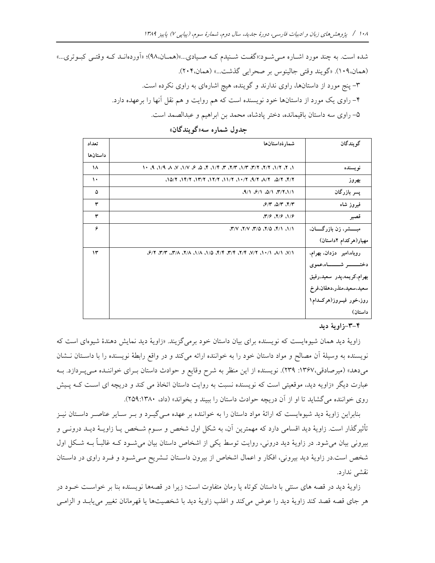شده است. به چند مورد اشـاره مـیشـود:«گفـت شــنیدم کــه صـیادی...»(همـان،۹۸)؛ «اَوردهانـد کـه وقتــی کبـوتری...» (همان،١٠٩). «گويند وقتي جالينوس بر صحرايي گذشت...» (همان،٢٠۴). ۳- پنج مورد از داستانها، راوی ندارند و گوینده، هیچ اشارهای به راوی نکرده است. ۴– راوی یک مورد از داستانها خود نویسنده است که هم روایت و هم نقل آنها را برعهده دارد. ۵– راوي سه داستان باقيمانده، دختر پادشاه، محمد بن ابراهيم و عبدالصمد است.

| گويندگان<br>تعداد<br>شمار ۂداستانھا<br>داستانها<br>1. 7. 7/1. 7/7. 7/7. 7/7. 7/7. 7. 7. 7. 3. 6. 9. 7/1. 7. 8. 9. 1. 8. 1. 9. 1. 9. 1. 9. 1. 9. 1. 1. 9. 1. 1. 9. 1<br>$\lambda$<br>نويسنده<br>$\cdot$<br>۳/۳، ۲/۵، ۲/۸، ۲/۹، ۲/۰۱، ۲/۲۱، ۲/۲۲، ۲/۳۱، ۲/۵/۲، ۱۵/۱<br>بهروز<br>پسر بازرگان<br>(9/1, 8/1, 0/1, 7/7, 1/1)<br>۵<br>٣<br>$9/7$ $0/7$ $5/7$<br>فيروز شاه<br>٣<br>$(19.7)$ $(1)$<br>قصير<br>۶<br>مبــــــشر، زن بازرگـــــــان،<br>۲/۱، ۲/۱، ۲/۵، ۲/۵، ۲/۷، ۲/۷،<br>مهیار(هرکدام ۲داستان)<br>روباه،امیر دزدان، بهرام،<br>۱۳<br>دختــــــــــــر شــــــــــــاه،عموى<br>بهرام،كريمە،پدر سعيد،رفيق<br>سعيد،سعيد،منذر،دهقان،فرخ<br>روز،خور فيــروز(هركــدام١<br>داستان) |  |  |
|--------------------------------------------------------------------------------------------------------------------------------------------------------------------------------------------------------------------------------------------------------------------------------------------------------------------------------------------------------------------------------------------------------------------------------------------------------------------------------------------------------------------------------------------------------------------------------------------------------------------------------------------------------------------------------|--|--|
|                                                                                                                                                                                                                                                                                                                                                                                                                                                                                                                                                                                                                                                                                |  |  |
|                                                                                                                                                                                                                                                                                                                                                                                                                                                                                                                                                                                                                                                                                |  |  |
|                                                                                                                                                                                                                                                                                                                                                                                                                                                                                                                                                                                                                                                                                |  |  |
|                                                                                                                                                                                                                                                                                                                                                                                                                                                                                                                                                                                                                                                                                |  |  |
|                                                                                                                                                                                                                                                                                                                                                                                                                                                                                                                                                                                                                                                                                |  |  |
|                                                                                                                                                                                                                                                                                                                                                                                                                                                                                                                                                                                                                                                                                |  |  |
|                                                                                                                                                                                                                                                                                                                                                                                                                                                                                                                                                                                                                                                                                |  |  |
|                                                                                                                                                                                                                                                                                                                                                                                                                                                                                                                                                                                                                                                                                |  |  |
|                                                                                                                                                                                                                                                                                                                                                                                                                                                                                                                                                                                                                                                                                |  |  |
|                                                                                                                                                                                                                                                                                                                                                                                                                                                                                                                                                                                                                                                                                |  |  |
|                                                                                                                                                                                                                                                                                                                                                                                                                                                                                                                                                                                                                                                                                |  |  |
|                                                                                                                                                                                                                                                                                                                                                                                                                                                                                                                                                                                                                                                                                |  |  |
|                                                                                                                                                                                                                                                                                                                                                                                                                                                                                                                                                                                                                                                                                |  |  |
|                                                                                                                                                                                                                                                                                                                                                                                                                                                                                                                                                                                                                                                                                |  |  |
|                                                                                                                                                                                                                                                                                                                                                                                                                                                                                                                                                                                                                                                                                |  |  |

جدول شماره سه«گويندگان»

٣-٣-زاوية ديد

زاویهٔ دید همان شیوهایست که نویسنده برای بیان داستان خود برمیگزیند. «زاویهٔ دید نمایش دهندهٔ شیوهای است که نویسنده به وسیلهٔ آن مصالح و مواد داستان خود را به خواننده ارائه میکند و در واقع رابطهٔ نویسنده را با داستان نـشان میدهد» (میرصادقی،۱۳۶۷: ۲۳۹). نویسنده از این منظر به شرح وقایع و حوادث داستان بـرای خواننـده مـیپـردازد. بـه عبارت دیگر «زاویه دید، موقعیتی است که نویسنده نسبت به روایت داستان اتخاذ می کند و دریچه ای اسـت کـه پـیش روی خواننده می گشاید تا او از آن دریچه حوادث داستان را ببیند و بخواند» (داد، ۲۵۹:۱۳۸۰).

بنابراین زاویهٔ دید شیوهایست که ارائهٔ مواد داستان را به خواننده بر عهده مـی گیـرد و بـر سـایر عناصـر داسـتان نیـز تأثیرگذار است. زاویهٔ دید اقسامی دارد که مهمترین آن، به شکل اول شخص و ســوم شــخص یــا زاویــهٔ دیــد درونــی و بیرونی بیان می شود. در زاویهٔ دید درونی، روایت توسط یکی از اشخاص داستان بیان می شود کـه غالبـاً بـه شـکل اول شخص است.در زاویهٔ دید بیرونی، افکار و اعمال اشخاص از بیرون داسـتان تـشریح مـیشـود و فـرد راوی در داسـتان نقشے ِ ندار د.

زاویهٔ دید در قصه های سنتی با داستان کوتاه یا رمان متفاوت است؛ زیرا در قصهها نویسنده بنا بر خواست خـود در هر جاى قصه قصد كند زاويهٔ ديد را عوض مى كند و اغلب زاويهٔ ديد با شخصيتها يا قهرمانان تغيير مى يابـد و الزامـى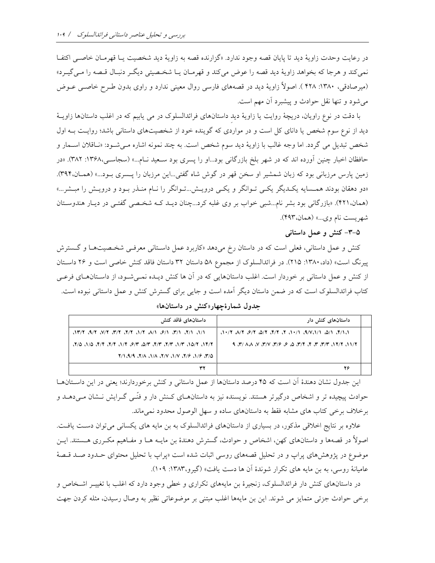در رعايت وحدت زاويهٔ ديد تا پايان قصه وجود ندارد. «گزارنده قصه به زاويهٔ ديد شخصيت يـا قهرمـان خاصـي اكتفـا نمي كند و هرجا كه بخواهد زاويهٔ ديد قصه را عوض مي كند و قهرمـان يـا شخـصيتي ديگـر دنبـال قـصه را مـي گيـرد» (میرصادقی، ۱۳۸۰: ۱۳۸ ). اصولاً زاویهٔ دید در قصههای فارسی روال معینی ندارد و راوی بدون طـرح خاصـی عــوض مي شود و تنها نقل حوادث و پيشبرد أن مهم است.

با دقت در نوع راويان، دريچهٔ روايت يا زاويهٔ ديد داستانهاي فرائدالسلوک در مي يابيم که در اغلب داستانها زاويـهٔ دید از نوع سوم شخص یا دانای کل است و در مواردی که گوینده خود از شخصیتهای داستانی باشد؛ روایت بـه اول شخص تبدیل می گردد. اما وجه غالب با زاویهٔ دید سوم شخص است. به چند نمونه اشاره مـیشـود: «نـاقلان اسـمار و حافظان اخبار چنین آورده اند که در شهر بلخ بازرگانی بود...او را پسری بود سـعید نـام...» (سجاسـی،۱۳۶۸: ۳۸۲). «در زمین پارس مرزبانی بود که زبان شمشیر او سخن قهر در گوش شاه گفتی...این مرزبان را پـسری بـود...» (همـان،۳۹۴). «دو دهقان بودند همسایه یک یگی یک<sub>می</sub> تـوانگر و یکـی درویـش...تـوانگر را نـام منـذر بـود و درویـش را مبـشر...» (همان،۴۲۱). «بازرگانی بود بشر نام...شبی خواب بر وی غلبه کرد...چنان دیـد کـه شخـصی گفتـی در دیـار هندوسـتان شهريست نام وي...» (همان،۴۹۳).

۵-۳- کنش و عمل داستانی

کنش و عمل داستانی، فعلی است که در داستان رخ میدهد «کاربرد عمل داسـتانی معرفـی شخـصیتهـا و گـسترش پیرنگ است» (داد، ۱۳۸۰: ۲۱۵). در فرائدالسلوک از مجموع ۵۸ داستان ۳۲ داستان فاقد کنش خاصی است و ۲۶ داستان از کنش و عمل داستانی بر خوردار است. اغلب داستانهایی که در آن ها کنش دیـده نمـیشـود، از داسـتانهـای فرعـی کتاب فرائدالسلوک است که در ضمن داستان دیگر آمده است و جایبی برای گسترش کنش و عمل داستانی نبوده است.

جدول شمارهٔچهار«کنش در داستانها»

| داستانهای فاقد کنش                                         | داستانهای کنش دار                                        |  |
|------------------------------------------------------------|----------------------------------------------------------|--|
| ו/۱، ۱/۲، ۱/۳، ۱/۶، ۱/۸، ۲/۲، ۲/۲، ۲/۲، ۲/۲، ۲/۲، ۲/۲۱،    | ה רוץ. רום. רובריטוף, רוייב צו צוץ. צום. צוץ. צווה צוייב |  |
| . ٢/٣٦، ١٥/٢، ٣/٣، ٣/٣، ٣/٣، ٣/٣، ٣/٣، ٣/٣، ٣/٣، ١/٥، ٢/٥، |                                                          |  |
| ۵/۳، ۱/۶ ۶/۶، ۱/۷، ۱/۷، ۱/۸، ۱/۸، ۱/۹، ۱/۹                 |                                                          |  |
|                                                            | 26                                                       |  |

این جدول نشان دهندهٔ آن است که ۴۵ درصد داستانها از عمل داستانی و کنش برخوردارند؛ یعنی در این داسـتانهـا حوادث پیچیده تر و اشخاص درگیرتر هستند. نویسنده نیز به داستانهـای کـنش دار و فنّـی گـرایش نــشان مـی۵هــد و برخلاف برخی کتاب های مشابه فقط به داستانهای ساده و سهل الوصول محدود نمیماند.

علاوه بر نتایج اخلاقی مذکور، در بسیاری از داستانهای فرائدالسلوک به بن مایه های یکسانی می توان دست یافت. اصولاً در قصهها و داستانهای کهن، اشخاص و حوادث، گسترش دهندهٔ بن مایـه هـا و مفـاهیم مکـرری هـستند. ایــن موضوع در پژوهشهای پراپ و در تحلیل قصههای روسی اثبات شده است «پراپ با تحلیل محتوای حـدود صـد قـصهٔ عامیانهٔ روسی، به بن مایه های تکرار شوندهٔ آن ها دست یافت» (گیرو،۱۳۸۳: ۱۰۹).

در داستانهای کنش دار فرائدالسلوک، زنجیرهٔ بن مایههای تکراری و خطی وجود دارد که اغلب با تغییــر اشــخاص و برخی حوادث جزئی متمایز می شوند. این بن مایهها اغلب مبتنی بر موضوعاتی نظیر به وصال رسیدن، مثله کردن جهت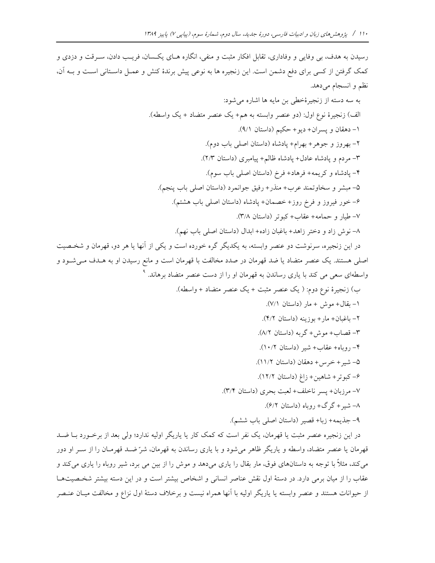رسیدن به هدف، بی وفایی و وفاداری، تقابل افکار مثبت و منفی، انگاره هـای یکـسان، فریـب دادن، سـرقت و دزدی و كمك گرفتن از كسى براى دفع دشمن است. اين زنجيره ها به نوعى پيش برندهٔ كنش و عمـل داسـتانى اسـت و بــه آن، نظم و انسجام مي دهد.

و شخصيت

در این زنجیره عنصر مثبت یا قهرمان، یک نفر است که کمک کار یا یاریگر اولیه ندارد؛ ولی بعد از برخــورد بــا ضــد قهرمان یا عنصر متضاد، واسطه و یاریگر ظاهر می شود و با یاری رساندن به قهرمان، شرّ ضـد قهرمـان را از سـر او دور می کند، مثلاً با توجه به داستانهای فوق، مار بقال را یاری میدهد و موش را از بین می برد، شیر روباه را یاری میکند و عقاب را از میان برمی دارد. در دستهٔ اول نقش عناصر انسانی و اشخاص بیشتر است و در این دسته بیشتر شخـصیتهـا از حیوانات هستند و عنصر وابسته یا یاریگر اولیه با آنها همراه نیست و برخلاف دستهٔ اول نزاع و مخالفت میـان عنـصر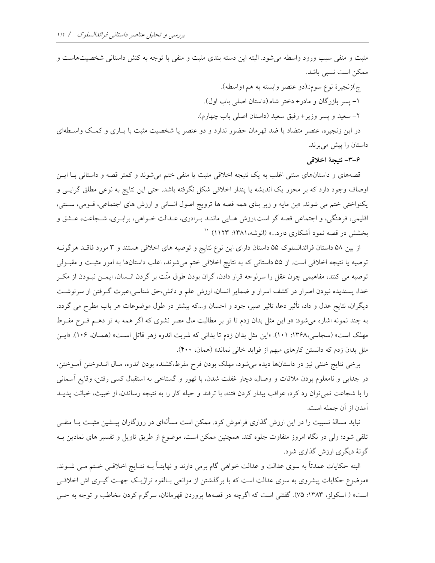مثبت و منفی سبب ورود واسطه می شود. البته این دسته بندی مثبت و منفی با توجه به کنش داستانی شخصیتهاست و ممكن است نسبى باشد.

ج)زنجيرة نوع سوم: (دو عنصر وابسته به هم+واسطه). ١- پسر بازرگان و مادر+ دختر شاه.(داستان اصلي باب اول). ٢- سعيد و يسر وزير+ رفيق سعيد (داستان اصلي باب چهارم). در این زنجیره، عنصر متضاد یا ضد قهرمان حضور ندارد و دو عنصر یا شخصیت مثبت با یـاری و کمـک واســطهای داستان را پیش میبرند.

۴-۳- نتيجهٔ اخلاقي

قصههای و داستانهای سنتی اغلب به یک نتیجه اخلاقی مثبت یا منفی ختم میشوند و کمتر قصه و داستانی بـا ایــن اوصاف وجود دارد که بر محور یک اندیشه یا پندار اخلاقی شکل نگرفته باشد. حتی این نتایج به نوعی مطلق گرایـی و یکنواختی ختم می شوند. «بن مایه و زیر بنای همه قصه ها ترویج اصول انسانی و ارزش های اجتماعی، قـومی، سـنتی، اقليمي، فرهنگي، و اجتماعي قصه گو است.ارزش هـايي ماننـد بـرادري، عـدالت خـواهي، برابـري، شـجاعت، عـشق و بخشش در قصه نمود آشکاری دارد...» (انوشه، ۱۳۸۱: ۱۱۲۳) <sup>۱۰</sup>

از بین ۵۸ داستان فرائدالسلوک ۵۵ داستان دارای این نوع نتایج و توصیه های اخلاقی هستند و ۳ مورد فاقـد هرگونــه توصیه یا نتیجه اخلاقی است. از ۵۵ داستانی که به نتایج اخلاقی ختم می شوند، اغلب داستانها به امور مثبت و مقبـولی توصیه می کنند، مفاهیمی چون عقل را سرلوحه قرار دادن، گران بودن طوق منّت بر گردن انــسان، ایمــن نبــودن از مکــر خدا، پسندیده نبودن اصرار در کشف اسرار و ضمایر انسان، ارزش علم و دانش،حق شناسی،عبرت گـرفتن از سرنوشـت دیگران، نتایج عدل و داد، تأثیر دعا، تاثیر صبر، جود و احسان و…که بیشتر در طول موضوعات هر باب مطرح می گردد. به چند نمونه اشاره می شود: «و این مثل بدان زدم تا تو بر مطالبت مال مصر نشوی که اگر همه به تو دهـم فـرح مفـرط مهلک است» (سجاسی،۱۳۶۸: ۱۰۱). «این مثل بدان زدم تا بدانی که شربت اندوه زهر قاتل است» (همـان، ۱۰۶). «ایـن مثل بدان زدم که دانستن کارهای مبهم از فواید خال<sub>ی</sub> نماند» (همان، ۴۰۰).

برخی نتایج خنثی نیز در داستانها دیده می شود، مهلک بودن فرح مفرط،کشنده بودن اندوه، مـال انــدوختن آمــوختن، در جدایی و نامعلوم بودن ملاقات و وصال، دچار غفلت شدن، با تهور و گستاخی به استقبال کسی رفتن، وقایع آسمانی را با شجاعت نمی توان رد کرد، عواقب بیدار کردن فتنه، با ترفند و حیله کار را به نتیجه رساندن، از خبیث، خباثت پدیـد آمدن از آن جمله است.

نباید مسالهٔ نسبیت را در این ارزش گذاری فراموش کرد. ممکن است مسألهای در روزگاران پیــشین مثبـت یــا منفــی تلقی شود؛ ولی در نگاه امروز متفاوت جلوه کند. همچنین ممکن است، موضوع از طریق تاویل و تفسیر های نمادین بـه گونهٔ دیگری ارزش گذاری شود.

البته حکایات عمدتاً به سوی عدالت و عدالت خواهی گام برمی دارند و نهایتـاً بــه نتـایج اخلاقــی خـتم مــی شــوند. «موضوع حکایات پیشروی به سوی عدالت است که با برگذشتن از موانعی بـالقوه تراژیـک جهـت گیــری اش اخلاقــی است» ( اسکولز، ۱۳۸۳: ۷۵). گفتنی است که اگرچه در قصهها پروردن قهرمانان، سرگرم کردن مخاطب و توجه به حس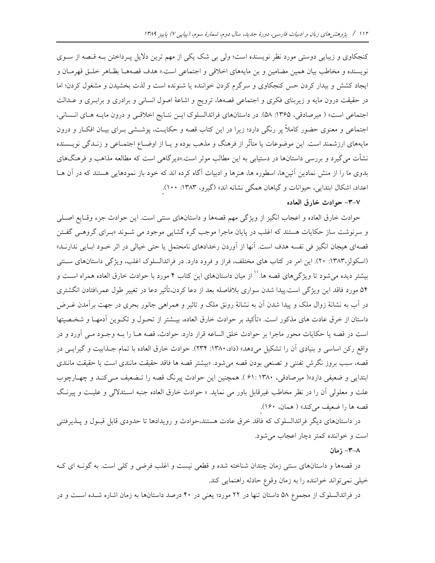کنجکاوی و زیبایی دوستی مورد نظر نویسنده است؛ ولی بی شک یکی از مهم ترین دلایل پـرداختن بـه قـصه از سـوی نويسنده و مخاطب بيان همين مضامين و بن مايههاي اخلاقي و اجتماعي است.« هدف قصههـا بظـاهر خلـق قهرمـان و ایجاد کشش و بیدار کردن حس کنجکاوی و سرگرم کردن خواننده یا شنونده است و لذت بخشیدن و مشغول کردن؛ اما در حقیقت درون مایه و زیربنای فکری و اجتماعی قصهها، ترویج و اشاعهٔ اصول انسانی و برادری و برابـری و عــدالت اجتماعی است» ( میرصادقی، ۱۳۶۵: ۵۸). در داستانهای فرائدالسلوک ایـن نتـایج اخلاقـی و درون مایـه هـای انـسانی، اجتماعی و معنوی حضور کاملاً پر رنگی دارد؛ زیرا در این کتاب قصه و حکایـت، پوشــشی بــرای بیــان افکــار و درون مایههای ارزشمند است. این موضوعات یا متأثّر از فرهنگ و مذهب بوده و یـا از اوضــاع اجتمــاعـی و زنــدگـی نویــسنده نشأت میگیرد و بررسی داستانها در دستیابی به این مطالب موثر است.«دیرگاهی است که مطالعه مذاهب و فرهنگهای بدوی ما را از منش نمادین آئینها، اسطوره ها، هنرها و ادبیات آگاه کرده اند که خود باز نمودهایی هستند که در آن هـا اعداد، اشکال ابتدایی، حیوانات و گیاهان همگی نشانه اند» (گیرو، ۱۳۸۳: ۱۰۰).

### ٧-٣- حوادث خارق العاده

حوادث خارق العاده و اعجاب انگیز از ویژگی مهم قصهها و داستانهای سنتی است. این حوادث جزء وقـایع اصـلی و سرنوشت ساز حکایات هستند که اغلب در پایان ماجرا موجب گره گشای<sub>ی</sub> موجود می شـوند «بـرای گروهـبی گفـتن قصهای هیجان انگیز فی نفسه هدف است. آنها از آوردن رخدادهای نامحتمل یا حتی خیالی در اثر خـود ابـایی ندارنــد» (اسکولز،۱۳۸۳: ۲۰). این امر در کتاب های مختلف، فراز و فرود دارد. در فرائدالسلوک اغلب، ویژگی داستانهای ستقی بیشتر دیده میشود تا ویژگیهای قصه ها.'' از میان داستانهای این کتاب ۴ مورد با حوادث خارق العاده همراه اسـت و ۵۴ مورد فاقد این ویژگی است.پیدا شدن سواری بلافاصله بعد از دعا کردن،تأثیر دعا در تغییر طول عمر،افتادن انگشتری در آب به نشانهٔ زوال ملک و پیدا شدن آن به نشانهٔ رونق ملک و تاثیر و همراهی جانور بحری در جهت برآمدن غـرض داستان از خرق عادت های مذکور است. «تأکید بر حوادث خارق العاده، بیــشتر از تحـول و تکــوین آدمهـا و شخـصیتها است در قصه یا حکایات محور ماجرا بر حوادث خلق الساعه قرار دارد. حوادث، قصه هـا را بـه وجـود مـی آورد و در واقع ركن اساسي و بنيادي آن را تشكيل مي دهد» (داد، ١٣٨٠: ٢٣۴). حوادث خارق العاده با تمام جـذابيت و گيرايـي در قصه، سبب بروز نگرش تفننی و تصنعی بودن قصه می شود. «بیشتر قصه ها فاقد حقیقت مانندی است یا حقیقت مانندی ابتدایی و ضعیفی دارد»( میرصادقی، ۱۳۸۰ :۶۱). همچنین این حوادث پیرنگ قصه را تـضعیف مـیکنـد و چهـارچوب علت و معلولي أن را در نظر مخاطب غيرقابل باور مي نمايد. « حوادث خارق العاده جنبه اسـتدلالي و عليـت و پيرنـگ قصه ها را ضعيف مي كند» ( همان، ١۶٠).

در داستانهای دیگر فرائدالسلوک که فاقد خرق عادت هستند،حوادث و رویدادها تا حدودی قابل قبـول و پــذیرفتنی است و خواننده کمتر دچار اعجاب می شود.

## ٨-٣- ; مان

در قصهها و داستانهای سنتی زمان چندان شناخته شده و قطعی نیست و اغلب فرضی و کلی است. به گونــه ای کــه خيلي نمي تواند خواننده را به زمان وقوع حادثه راهنمايي كند.

در فرائدالسلوک از مجموع ۵۸ داستان تنها در ۲۲ مورد؛ یعنی در ۴۰ درصد داستانها به زمان اشاره شـده اسـت و در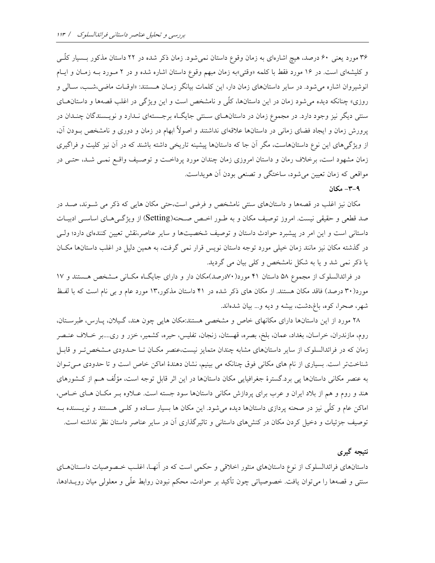۳۶ مورد یعنی ۶۰ درصد، هیچ اشارهای به زمان وقوع داستان نمیشود. زمان ذکر شده در ۲۲ داستان مذکور بـسیار کلّـی و کلیشهای است. در ۱۶ مورد فقط با کلمه «وقتی»به زمان مبهم وقوع داستان اشاره شده و در ۲ مـورد بـه زمـان و ایـام انوشیروان اشاره می شود. در سایر داستانهای زمان دار، این کلمات بیانگر زمـان هـستند: «اوقـات ماضی،شـب، سـالی و روزی» چنانکه دیده می شود زمان در این داستانها، کلّی و نامشخص است و این ویژگی در اغلب قصهها و داستانهــای سنتی دیگر نیز وجود دارد. در مجموع زمان در داستانهـای سـنتی جایگـاه برجـستهای نـدارد و نویـسندگان چنـدان در پرورش زمان و ایجاد فضای زمانی در داستانها علاقهای نداشتند و اصولاً ابهام در زمان و دوری و نامشخص بـودن آن، از ویژگیهای این نوع داستانهاست، مگر آن جا که داستانها پیشینه تاریخی داشته باشند که در آن نیز کلیت و فراگیری زمان مشهود است، برخلاف رمان و داستان امروزی زمان چندان مورد پرداخـت و توصـيف واقـع نمـی شـد، حتـی در مواقعی که زمان تعیین می شود، ساختگی و تصنعی بودن آن هویداست.

## ۹-۳- مکان

مکان نیز اغلب در قصهها و داستانهای سنتی نامشخص و فرضی است،حتی مکان هایی که ذکر می شـوند، صـد در صد قطعی و حقیقی نیست. امروز توصیف مکان و به طـور اخـص صـحنه(Setting) از ویژگـی۵حـای اساســی ادبیــات داستانی است و این امر در پیشبرد حوادث داستان و توصیف شخصیتها و سایر عناصر،نقش تعیین کنندهای دارد؛ ولـی در گذشته مکان نیز مانند زمان خیلی مورد توجه داستان نویس قرار نمی گرفت، به همین دلیل در اغلب داستانها مکـان یا ذکر نمی شد و یا به شکل نامشخص و کلی بیان می گردید.

در فرائدالسلوک از مجموع ۵۸ داستان ۴۱ مورد(۷۰درصد)مکان دار و دارای جایگاه مکـانی مـشخص هـستند و ۱۷ مورد(۳۰ درصد) فاقد مکان هستند. از مکان های ذکر شده در ۴۱ داستان مذکور،۱۳ مورد عام و بی نام است که با لفظ شهر، صحرا، كوه، باغ،دشت، بيشه و ديه و... بيان شدهاند.

۲۸ مورد از این داستانها دارای مکانهای خاص و مشخصی هستند:مکان هایی چون هند، گیلان، پارس، طبرستان، روم، مازندران، خراسان، بغداد، عمان، بلخ، بصره، قهستان، زنجان، تفليس، حيره، كشمير، خزر و ري....بر خـلاف عنـصر زمان که در فرائدالسلوک از سایر داستانهای مشابه چندان متمایز نیست،عنصر مکـان تـا حـدودی مـشخص تـر و قابـل شناختتر است. بسیاری از نام های مکانی فوق چنانکه می بینیم، نشان دهندهٔ اماکن خاص است و تا حدودی می توان به عنصر مکانی داستانها پی برد.گسترهٔ جغرافیایی مکان داستانها در این اثر قابل توجه است، مؤلّف هـم از کـشورهای هند و روم و هم از بلاد ایران و عرب برای پردازش مکانی داستانها سود جسته است. عبلاوه بـر مکبان هبای خباص، اماکن عام و کلّی نیز در صحنه پردازی داستانها دیده میشود. این مکان ها بسیار سـاده و کلـی هـستند و نویـسنده بـه توصیف جزئیات و دخیل کردن مکان در کنشهای داستانی و تاثیرگذاری آن در سایر عناصر داستان نظر نداشته است.

# نتیجه گیری

داستانهای فرائدالسلوک از نوع داستانهای منثور اخلاقی و حکمی است که در أنهـا، اغلـب خـصوصیات داسـتانهــای سنتمی و قصهها را میتوان یافت. خصوصیاتی چون تأکید بر حوادث، محکم نبودن روابط علّی و معلولی میان رویـدادها،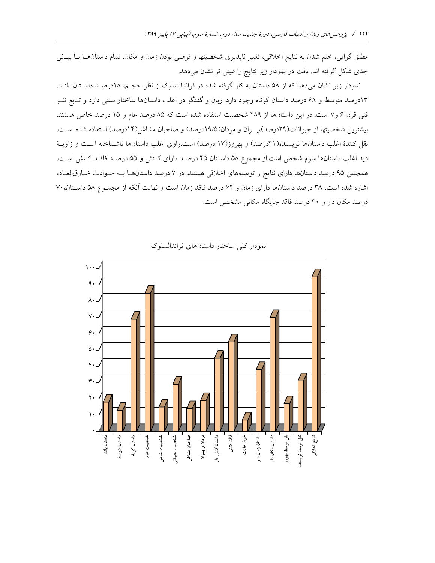مطلق گرایی، ختم شدن به نتایج اخلاقی، تغییر ناپذیری شخصیتها و فرضی بودن زمان و مکان تمام داستانهـا بـا بیـانی جدی شکل گرفته اند. دقت در نمودار زیر نتایج را عینی تر نشان میدهد.

نمودار زیر نشان میدهد که از ۵۸ داستان به کار گرفته شده در فرائدالسلوک از نظر حجـم، ۱۸درصـد داسـتان بلنـد، ۱۳درصد متوسط و ۶۸ درصد داستان کوتاه وجود دارد. زبان و گفتگو در اغلب داستانها ساختار سنتی دارد و تـابع نشر فنی قرن ۶ و ۷ است. در این داستانها از ۲۸۹ شخصیت استفاده شده است که ۸۵ درصد عام و ۱۵ درصد خاص هستند. بیشترین شخصیتها از حیوانات(٢٩درصد)،پسران و مردان(١٩/٥درصد) و صاحبان مشاغل(١۴درصد) استفاده شده است. نقل کنندهٔ اغلب داستانها نویسنده(۳۱درصد) و بهروز(۱۷ درصد) است.راوی اغلب داستانها ناشـناخته اسـت و زاویـهٔ دید اغلب داستانها سوم شخص است.از مجموع ۵۸ داسـتان ۴۵ درصـد دارای کـنش و ۵۵ درصـد فاقـد کـنش اسـت. همچنین ۹۵ درصد داستانها دارای نتایج و توصیههای اخلاقی هستند. در ۷ درصد داستانهـا بـه حـوادث خـارقالعـاده اشاره شده است، ٣٨ درصد داستانها داراي زمان و ۶۲ درصد فاقد زمان است و نهايت آنكه از مجمـوع ٥٨ داسـتان، ٧٠ درصد مکان دار و ۳۰ درصد فاقد جایگاه مکانی مشخص است.



نمودار كلى ساختار داستانهاى فرائدالسلوك